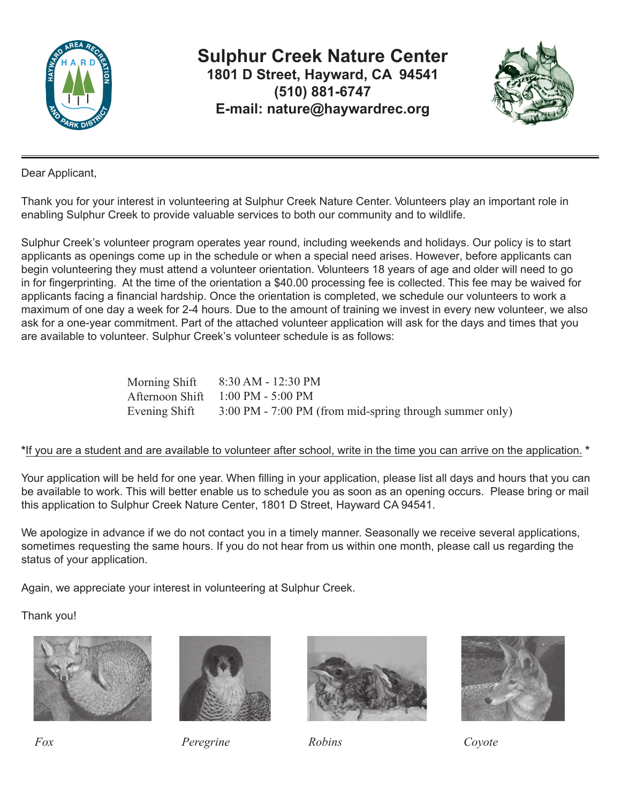

**Sulphur Creek Nature Center 1801 D Street, Hayward, CA 94541 (510) 881-6747 E-mail: nature@haywardrec.org**



Dear Applicant,

Thank you for your interest in volunteering at Sulphur Creek Nature Center. Volunteers play an important role in enabling Sulphur Creek to provide valuable services to both our community and to wildlife.

Sulphur Creek's volunteer program operates year round, including weekends and holidays. Our policy is to start applicants as openings come up in the schedule or when a special need arises. However, before applicants can begin volunteering they must attend a volunteer orientation. Volunteers 18 years of age and older will need to go in for fingerprinting. At the time of the orientation a \$40.00 processing fee is collected. This fee may be waived for applicants facing a financial hardship. Once the orientation is completed, we schedule our volunteers to work a maximum of one day a week for 2-4 hours. Due to the amount of training we invest in every new volunteer, we also ask for a one-year commitment. Part of the attached volunteer application will ask for the days and times that you are available to volunteer. Sulphur Creek's volunteer schedule is as follows:

| Morning Shift | 8:30 AM - 12:30 PM                                      |
|---------------|---------------------------------------------------------|
|               | Afternoon Shift 1:00 PM - 5:00 PM                       |
| Evening Shift | 3:00 PM - 7:00 PM (from mid-spring through summer only) |

#### **\***If you are a student and are available to volunteer after school, write in the time you can arrive on the application. **\***

Your application will be held for one year. When filling in your application, please list all days and hours that you can be available to work. This will better enable us to schedule you as soon as an opening occurs. Please bring or mail this application to Sulphur Creek Nature Center, 1801 D Street, Hayward CA 94541.

We apologize in advance if we do not contact you in a timely manner. Seasonally we receive several applications, sometimes requesting the same hours. If you do not hear from us within one month, please call us regarding the status of your application.

Again, we appreciate your interest in volunteering at Sulphur Creek.

Thank you!





*Fox Peregrine Robins Coyote*



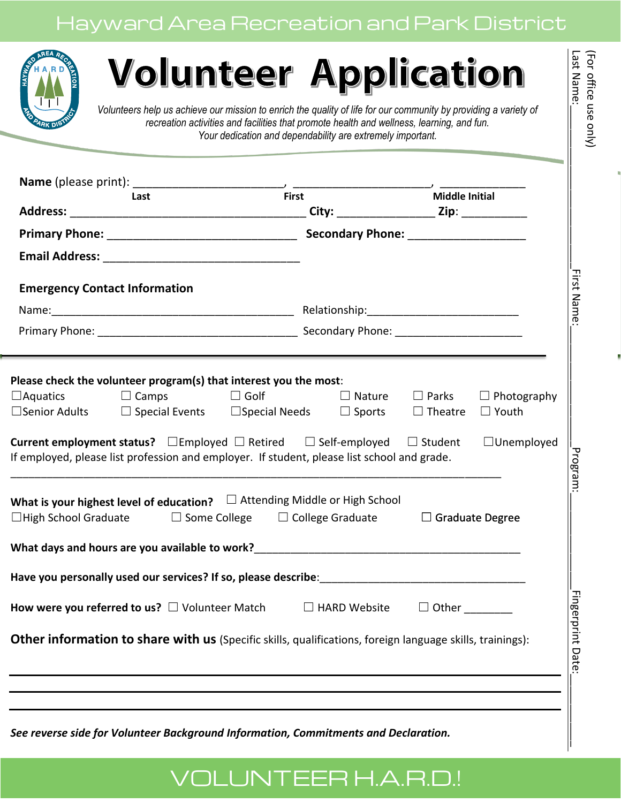# Hayward Area Recreation and Park District



# **Volunteer Application**

| <b>Emergency Contact Information</b>                                                                                                                                                                                                                                                |              |
|-------------------------------------------------------------------------------------------------------------------------------------------------------------------------------------------------------------------------------------------------------------------------------------|--------------|
|                                                                                                                                                                                                                                                                                     |              |
|                                                                                                                                                                                                                                                                                     |              |
| If employed, please list profession and employer. If student, please list school and grade.<br>What is your highest level of education? $\square$ Attending Middle or High School<br>$\Box$ High School Graduate $\Box$ Some College $\Box$ College Graduate $\Box$ Graduate Degree |              |
|                                                                                                                                                                                                                                                                                     |              |
|                                                                                                                                                                                                                                                                                     |              |
| How were you referred to us? $\square$ Volunteer Match $\square$ HARD Website                                                                                                                                                                                                       | $\Box$ Other |
|                                                                                                                                                                                                                                                                                     |              |

# VOLUNTEER H.A.R.D.!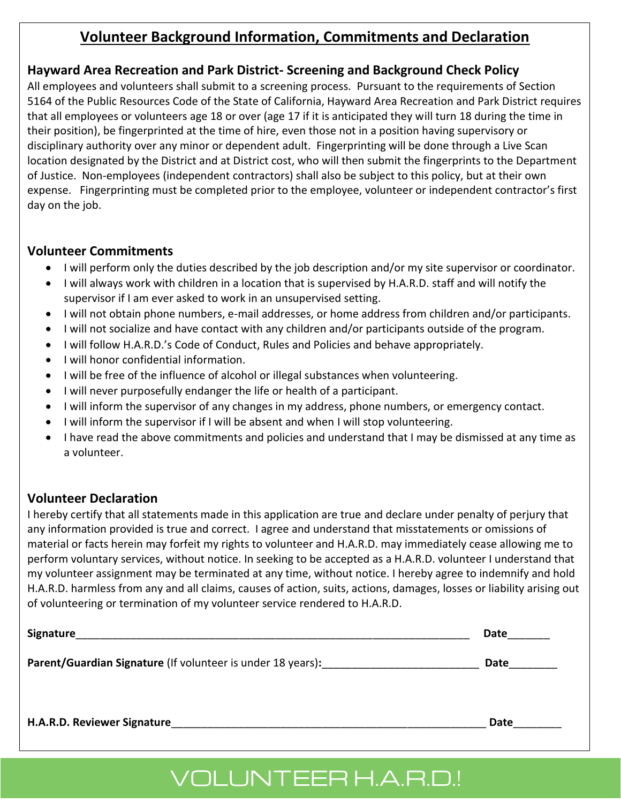## **Volunteer Background Information, Commitments and Declaration**

### **Hayward Area Recreation and Park District- Screening and Background Check Policy**

All employees and volunteers shall submit to a screening process. Pursuant to the requirements of Section 5164 of the Public Resources Code of the State of California, Hayward Area Recreation and Park District requires that all employees or volunteers age 18 or over (age 17 if it is anticipated they will turn 18 during the time in their position), be fingerprinted at the time of hire, even those not in a position having supervisory or disciplinary authority over any minor or dependent adult. Fingerprinting will be done through a Live Scan location designated by the District and at District cost, who will then submit the fingerprints to the Department of Justice. Non-employees (independent contractors) shall also be subject to this policy, but at their own expense. Fingerprinting must be completed prior to the employee, volunteer or independent contractor's first day on the job.

#### **Volunteer Commitments**

- I will perform only the duties described by the job description and/or my site supervisor or coordinator.
- I will always work with children in a location that is supervised by H.A.R.D. staff and will notify the supervisor if I am ever asked to work in an unsupervised setting.
- I will not obtain phone numbers, e-mail addresses, or home address from children and/or participants.
- I will not socialize and have contact with any children and/or participants outside of the program.
- I will follow H.A.R.D.'s Code of Conduct, Rules and Policies and behave appropriately.
- I will honor confidential information.
- I will be free of the influence of alcohol or illegal substances when volunteering.
- I will never purposefully endanger the life or health of a participant.
- I will inform the supervisor of any changes in my address, phone numbers, or emergency contact.
- I will inform the supervisor if I will be absent and when I will stop volunteering.
- I have read the above commitments and policies and understand that I may be dismissed at any time as a volunteer.

## **Volunteer Declaration**

I hereby certify that all statements made in this application are true and declare under penalty of perjury that any information provided is true and correct. I agree and understand that misstatements or omissions of material or facts herein may forfeit my rights to volunteer and H.A.R.D. may immediately cease allowing me to perform voluntary services, without notice. In seeking to be accepted as a H.A.R.D. volunteer I understand that my volunteer assignment may be terminated at any time, without notice. I hereby agree to indemnify and hold H.A.R.D. harmless from any and all claims, causes of action, suits, actions, damages, losses or liability arising out of volunteering or termination of my volunteer service rendered to H.A.R.D.

| Signature                                                          | Date |
|--------------------------------------------------------------------|------|
| <b>Parent/Guardian Signature</b> (If volunteer is under 18 years): | Date |
| H.A.R.D. Reviewer Signature                                        | Date |

# VOLUNTEER H.A.R.D.!